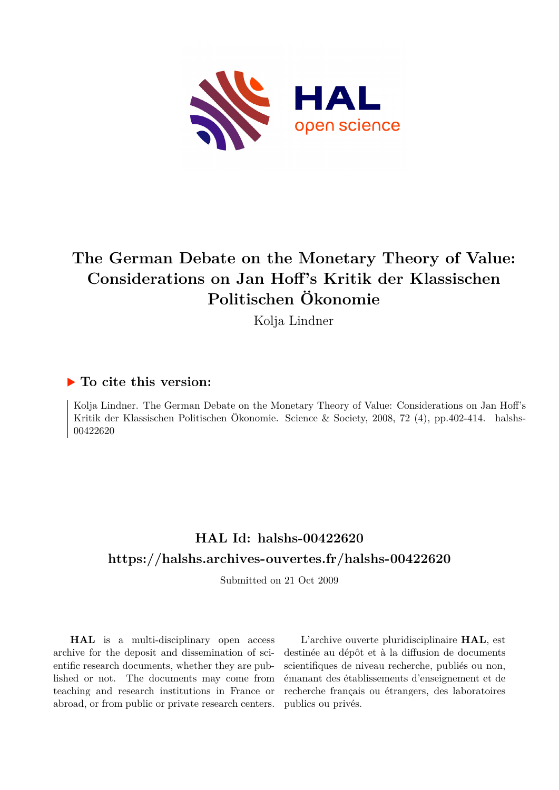

# **The German Debate on the Monetary Theory of Value: Considerations on Jan Hoff's Kritik der Klassischen Politischen Ökonomie**

Kolja Lindner

### **To cite this version:**

Kolja Lindner. The German Debate on the Monetary Theory of Value: Considerations on Jan Hoff's Kritik der Klassischen Politischen Ökonomie. Science & Society, 2008, 72 (4), pp.402-414. halshs-00422620

## **HAL Id: halshs-00422620 <https://halshs.archives-ouvertes.fr/halshs-00422620>**

Submitted on 21 Oct 2009

**HAL** is a multi-disciplinary open access archive for the deposit and dissemination of scientific research documents, whether they are published or not. The documents may come from teaching and research institutions in France or abroad, or from public or private research centers.

L'archive ouverte pluridisciplinaire **HAL**, est destinée au dépôt et à la diffusion de documents scientifiques de niveau recherche, publiés ou non, émanant des établissements d'enseignement et de recherche français ou étrangers, des laboratoires publics ou privés.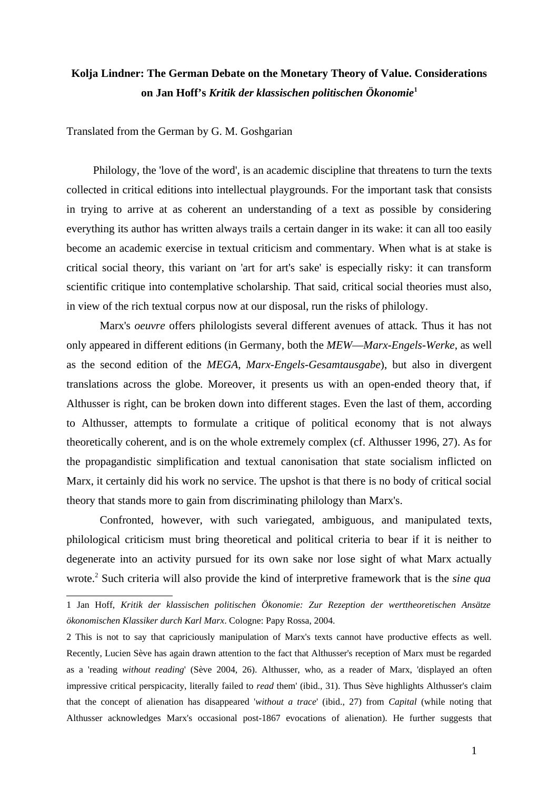## **Kolja Lindner: The German Debate on the Monetary Theory of Value. Considerations on Jan Hoff's** *Kritik der klassischen politischen Ökonomie***[1](#page-1-0)**

Translated from the German by G. M. Goshgarian

Philology, the 'love of the word', is an academic discipline that threatens to turn the texts collected in critical editions into intellectual playgrounds. For the important task that consists in trying to arrive at as coherent an understanding of a text as possible by considering everything its author has written always trails a certain danger in its wake: it can all too easily become an academic exercise in textual criticism and commentary. When what is at stake is critical social theory, this variant on 'art for art's sake' is especially risky: it can transform scientific critique into contemplative scholarship. That said, critical social theories must also, in view of the rich textual corpus now at our disposal, run the risks of philology.

Marx's *oeuvre* offers philologists several different avenues of attack. Thus it has not only appeared in different editions (in Germany, both the *MEW*—*Marx-Engels-Werke*, as well as the second edition of the *MEGA*, *Marx-Engels-Gesamtausgabe*), but also in divergent translations across the globe. Moreover, it presents us with an open-ended theory that, if Althusser is right, can be broken down into different stages. Even the last of them, according to Althusser, attempts to formulate a critique of political economy that is not always theoretically coherent, and is on the whole extremely complex (cf. Althusser 1996, 27). As for the propagandistic simplification and textual canonisation that state socialism inflicted on Marx, it certainly did his work no service. The upshot is that there is no body of critical social theory that stands more to gain from discriminating philology than Marx's.

Confronted, however, with such variegated, ambiguous, and manipulated texts, philological criticism must bring theoretical and political criteria to bear if it is neither to degenerate into an activity pursued for its own sake nor lose sight of what Marx actually wrote.[2](#page-1-1) Such criteria will also provide the kind of interpretive framework that is the *sine qua*

<span id="page-1-0"></span><sup>1</sup> Jan Hoff, *Kritik der klassischen politischen Ökonomie: Zur Rezeption der werttheoretischen Ansätze ökonomischen Klassiker durch Karl Marx*. Cologne: Papy Rossa, 2004.

<span id="page-1-1"></span><sup>2</sup> This is not to say that capriciously manipulation of Marx's texts cannot have productive effects as well. Recently, Lucien Sève has again drawn attention to the fact that Althusser's reception of Marx must be regarded as a 'reading *without reading*' (Sève 2004, 26). Althusser, who, as a reader of Marx, 'displayed an often impressive critical perspicacity, literally failed to *read* them' (ibid., 31). Thus Sève highlights Althusser's claim that the concept of alienation has disappeared '*without a trace*' (ibid., 27) from *Capital* (while noting that Althusser acknowledges Marx's occasional post-1867 evocations of alienation). He further suggests that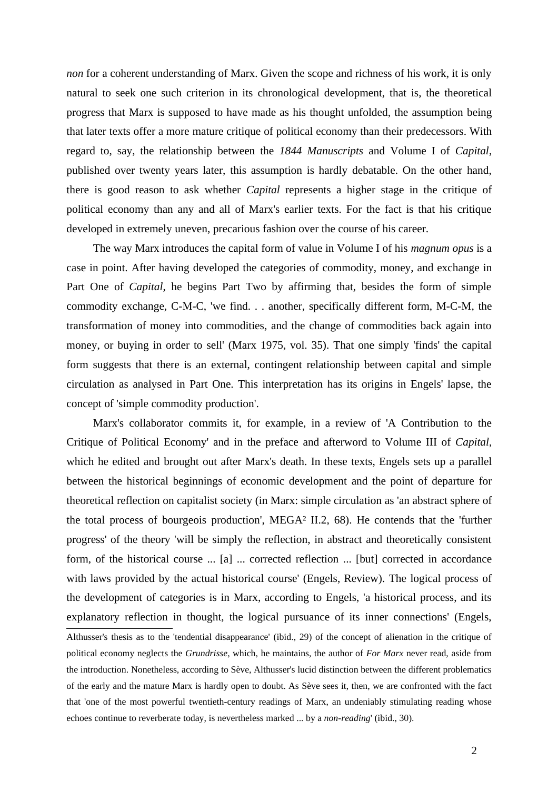*non* for a coherent understanding of Marx. Given the scope and richness of his work, it is only natural to seek one such criterion in its chronological development, that is, the theoretical progress that Marx is supposed to have made as his thought unfolded, the assumption being that later texts offer a more mature critique of political economy than their predecessors. With regard to, say, the relationship between the *1844 Manuscripts* and Volume I of *Capital*, published over twenty years later, this assumption is hardly debatable. On the other hand, there is good reason to ask whether *Capital* represents a higher stage in the critique of political economy than any and all of Marx's earlier texts. For the fact is that his critique developed in extremely uneven, precarious fashion over the course of his career.

The way Marx introduces the capital form of value in Volume I of his *magnum opus* is a case in point. After having developed the categories of commodity, money, and exchange in Part One of *Capital*, he begins Part Two by affirming that, besides the form of simple commodity exchange, C-M-C, 'we find. . . another, specifically different form, M-C-M, the transformation of money into commodities, and the change of commodities back again into money, or buying in order to sell' (Marx 1975, vol. 35). That one simply 'finds' the capital form suggests that there is an external, contingent relationship between capital and simple circulation as analysed in Part One. This interpretation has its origins in Engels' lapse, the concept of 'simple commodity production'.

Marx's collaborator commits it, for example, in a review of 'A Contribution to the Critique of Political Economy' and in the preface and afterword to Volume III of *Capital*, which he edited and brought out after Marx's death. In these texts, Engels sets up a parallel between the historical beginnings of economic development and the point of departure for theoretical reflection on capitalist society (in Marx: simple circulation as 'an abstract sphere of the total process of bourgeois production', MEGA² II.2, 68). He contends that the 'further progress' of the theory 'will be simply the reflection, in abstract and theoretically consistent form, of the historical course ... [a] ... corrected reflection ... [but] corrected in accordance with laws provided by the actual historical course' (Engels, Review). The logical process of the development of categories is in Marx, according to Engels, 'a historical process, and its explanatory reflection in thought, the logical pursuance of its inner connections' (Engels, Althusser's thesis as to the 'tendential disappearance' (ibid., 29) of the concept of alienation in the critique of political economy neglects the *Grundrisse*, which, he maintains, the author of *For Marx* never read, aside from the introduction. Nonetheless, according to Sève, Althusser's lucid distinction between the different problematics of the early and the mature Marx is hardly open to doubt. As Sève sees it, then, we are confronted with the fact that 'one of the most powerful twentieth-century readings of Marx, an undeniably stimulating reading whose echoes continue to reverberate today, is nevertheless marked ... by a *non-reading*' (ibid., 30).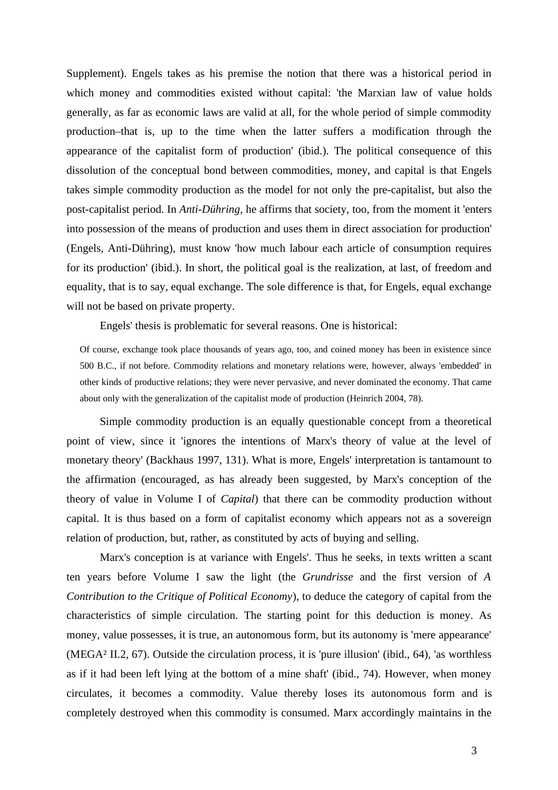Supplement). Engels takes as his premise the notion that there was a historical period in which money and commodities existed without capital: 'the Marxian law of value holds generally, as far as economic laws are valid at all, for the whole period of simple commodity production–that is, up to the time when the latter suffers a modification through the appearance of the capitalist form of production' (ibid.). The political consequence of this dissolution of the conceptual bond between commodities, money, and capital is that Engels takes simple commodity production as the model for not only the pre-capitalist, but also the post-capitalist period. In *Anti-Dühring*, he affirms that society, too, from the moment it 'enters into possession of the means of production and uses them in direct association for production' (Engels, Anti-Dühring), must know 'how much labour each article of consumption requires for its production' (ibid.). In short, the political goal is the realization, at last, of freedom and equality, that is to say, equal exchange. The sole difference is that, for Engels, equal exchange will not be based on private property.

Engels' thesis is problematic for several reasons. One is historical:

Of course, exchange took place thousands of years ago, too, and coined money has been in existence since 500 B.C., if not before. Commodity relations and monetary relations were, however, always 'embedded' in other kinds of productive relations; they were never pervasive, and never dominated the economy. That came about only with the generalization of the capitalist mode of production (Heinrich 2004, 78).

Simple commodity production is an equally questionable concept from a theoretical point of view, since it 'ignores the intentions of Marx's theory of value at the level of monetary theory' (Backhaus 1997, 131). What is more, Engels' interpretation is tantamount to the affirmation (encouraged, as has already been suggested, by Marx's conception of the theory of value in Volume I of *Capital*) that there can be commodity production without capital. It is thus based on a form of capitalist economy which appears not as a sovereign relation of production, but, rather, as constituted by acts of buying and selling.

Marx's conception is at variance with Engels'. Thus he seeks, in texts written a scant ten years before Volume I saw the light (the *Grundrisse* and the first version of *A Contribution to the Critique of Political Economy*), to deduce the category of capital from the characteristics of simple circulation. The starting point for this deduction is money. As money, value possesses, it is true, an autonomous form, but its autonomy is 'mere appearance' (MEGA² II.2, 67). Outside the circulation process, it is 'pure illusion' (ibid., 64), 'as worthless as if it had been left lying at the bottom of a mine shaft' (ibid., 74). However, when money circulates, it becomes a commodity. Value thereby loses its autonomous form and is completely destroyed when this commodity is consumed. Marx accordingly maintains in the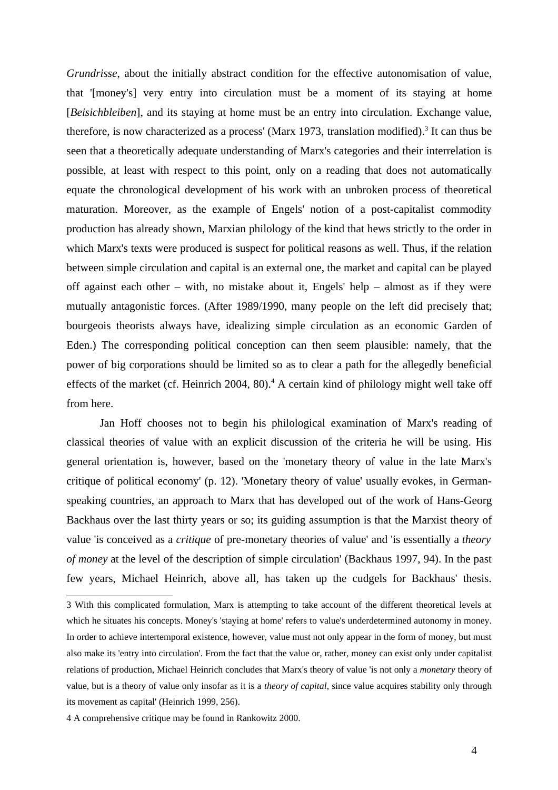*Grundrisse*, about the initially abstract condition for the effective autonomisation of value, that '[money's] very entry into circulation must be a moment of its staying at home [*Beisichbleiben*], and its staying at home must be an entry into circulation. Exchange value, therefore, is now characterized as a process' (Marx 197[3](#page-4-0), translation modified).<sup>3</sup> It can thus be seen that a theoretically adequate understanding of Marx's categories and their interrelation is possible, at least with respect to this point, only on a reading that does not automatically equate the chronological development of his work with an unbroken process of theoretical maturation. Moreover, as the example of Engels' notion of a post-capitalist commodity production has already shown, Marxian philology of the kind that hews strictly to the order in which Marx's texts were produced is suspect for political reasons as well. Thus, if the relation between simple circulation and capital is an external one, the market and capital can be played off against each other – with, no mistake about it, Engels' help – almost as if they were mutually antagonistic forces. (After 1989/1990, many people on the left did precisely that; bourgeois theorists always have, idealizing simple circulation as an economic Garden of Eden.) The corresponding political conception can then seem plausible: namely, that the power of big corporations should be limited so as to clear a path for the allegedly beneficial effects of the market (cf. Heinrich 200[4](#page-4-1), 80).<sup>4</sup> A certain kind of philology might well take off from here.

Jan Hoff chooses not to begin his philological examination of Marx's reading of classical theories of value with an explicit discussion of the criteria he will be using. His general orientation is, however, based on the 'monetary theory of value in the late Marx's critique of political economy' (p. 12). 'Monetary theory of value' usually evokes, in Germanspeaking countries, an approach to Marx that has developed out of the work of Hans-Georg Backhaus over the last thirty years or so; its guiding assumption is that the Marxist theory of value 'is conceived as a *critique* of pre-monetary theories of value' and 'is essentially a *theory of money* at the level of the description of simple circulation' (Backhaus 1997, 94). In the past few years, Michael Heinrich, above all, has taken up the cudgels for Backhaus' thesis.

<span id="page-4-0"></span><sup>3</sup> With this complicated formulation, Marx is attempting to take account of the different theoretical levels at which he situates his concepts. Money's 'staying at home' refers to value's underdetermined autonomy in money. In order to achieve intertemporal existence, however, value must not only appear in the form of money, but must also make its 'entry into circulation'. From the fact that the value or, rather, money can exist only under capitalist relations of production, Michael Heinrich concludes that Marx's theory of value 'is not only a *monetary* theory of value, but is a theory of value only insofar as it is a *theory of capital*, since value acquires stability only through its movement as capital' (Heinrich 1999, 256).

<span id="page-4-1"></span><sup>4</sup> A comprehensive critique may be found in Rankowitz 2000.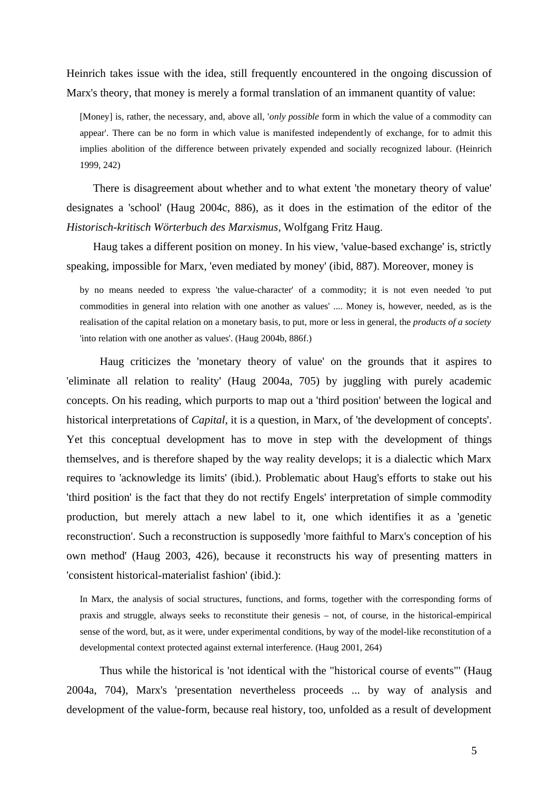Heinrich takes issue with the idea, still frequently encountered in the ongoing discussion of Marx's theory, that money is merely a formal translation of an immanent quantity of value:

[Money] is, rather, the necessary, and, above all, '*only possible* form in which the value of a commodity can appear'. There can be no form in which value is manifested independently of exchange, for to admit this implies abolition of the difference between privately expended and socially recognized labour. (Heinrich 1999, 242)

There is disagreement about whether and to what extent 'the monetary theory of value' designates a 'school' (Haug 2004c, 886), as it does in the estimation of the editor of the *Historisch-kritisch Wörterbuch des Marxismus,* Wolfgang Fritz Haug.

Haug takes a different position on money. In his view, 'value-based exchange' is, strictly speaking, impossible for Marx, 'even mediated by money' (ibid, 887). Moreover, money is

by no means needed to express 'the value-character' of a commodity; it is not even needed 'to put commodities in general into relation with one another as values' .... Money is, however, needed, as is the realisation of the capital relation on a monetary basis, to put, more or less in general, the *products of a society* 'into relation with one another as values'. (Haug 2004b, 886f.)

Haug criticizes the 'monetary theory of value' on the grounds that it aspires to 'eliminate all relation to reality' (Haug 2004a, 705) by juggling with purely academic concepts. On his reading, which purports to map out a 'third position' between the logical and historical interpretations of *Capital*, it is a question, in Marx, of 'the development of concepts'. Yet this conceptual development has to move in step with the development of things themselves, and is therefore shaped by the way reality develops; it is a dialectic which Marx requires to 'acknowledge its limits' (ibid.). Problematic about Haug's efforts to stake out his 'third position' is the fact that they do not rectify Engels' interpretation of simple commodity production, but merely attach a new label to it, one which identifies it as a 'genetic reconstruction'. Such a reconstruction is supposedly 'more faithful to Marx's conception of his own method' (Haug 2003, 426), because it reconstructs his way of presenting matters in 'consistent historical-materialist fashion' (ibid.):

In Marx, the analysis of social structures, functions, and forms, together with the corresponding forms of praxis and struggle, always seeks to reconstitute their genesis – not, of course, in the historical-empirical sense of the word, but, as it were, under experimental conditions, by way of the model-like reconstitution of a developmental context protected against external interference. (Haug 2001, 264)

Thus while the historical is 'not identical with the "historical course of events"' (Haug 2004a, 704), Marx's 'presentation nevertheless proceeds ... by way of analysis and development of the value-form, because real history, too, unfolded as a result of development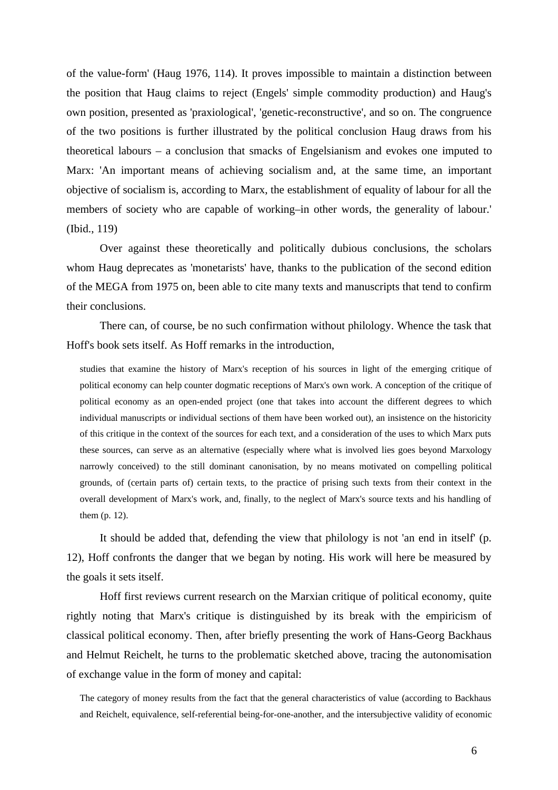of the value-form' (Haug 1976, 114). It proves impossible to maintain a distinction between the position that Haug claims to reject (Engels' simple commodity production) and Haug's own position, presented as 'praxiological', 'genetic-reconstructive', and so on. The congruence of the two positions is further illustrated by the political conclusion Haug draws from his theoretical labours – a conclusion that smacks of Engelsianism and evokes one imputed to Marx: 'An important means of achieving socialism and, at the same time, an important objective of socialism is, according to Marx, the establishment of equality of labour for all the members of society who are capable of working–in other words, the generality of labour.' (Ibid., 119)

Over against these theoretically and politically dubious conclusions, the scholars whom Haug deprecates as 'monetarists' have, thanks to the publication of the second edition of the MEGA from 1975 on, been able to cite many texts and manuscripts that tend to confirm their conclusions.

There can, of course, be no such confirmation without philology. Whence the task that Hoff's book sets itself. As Hoff remarks in the introduction,

studies that examine the history of Marx's reception of his sources in light of the emerging critique of political economy can help counter dogmatic receptions of Marx's own work. A conception of the critique of political economy as an open-ended project (one that takes into account the different degrees to which individual manuscripts or individual sections of them have been worked out), an insistence on the historicity of this critique in the context of the sources for each text, and a consideration of the uses to which Marx puts these sources, can serve as an alternative (especially where what is involved lies goes beyond Marxology narrowly conceived) to the still dominant canonisation, by no means motivated on compelling political grounds, of (certain parts of) certain texts, to the practice of prising such texts from their context in the overall development of Marx's work, and, finally, to the neglect of Marx's source texts and his handling of them (p. 12).

It should be added that, defending the view that philology is not 'an end in itself' (p. 12), Hoff confronts the danger that we began by noting. His work will here be measured by the goals it sets itself.

Hoff first reviews current research on the Marxian critique of political economy, quite rightly noting that Marx's critique is distinguished by its break with the empiricism of classical political economy. Then, after briefly presenting the work of Hans-Georg Backhaus and Helmut Reichelt, he turns to the problematic sketched above, tracing the autonomisation of exchange value in the form of money and capital:

The category of money results from the fact that the general characteristics of value (according to Backhaus and Reichelt, equivalence, self-referential being-for-one-another, and the intersubjective validity of economic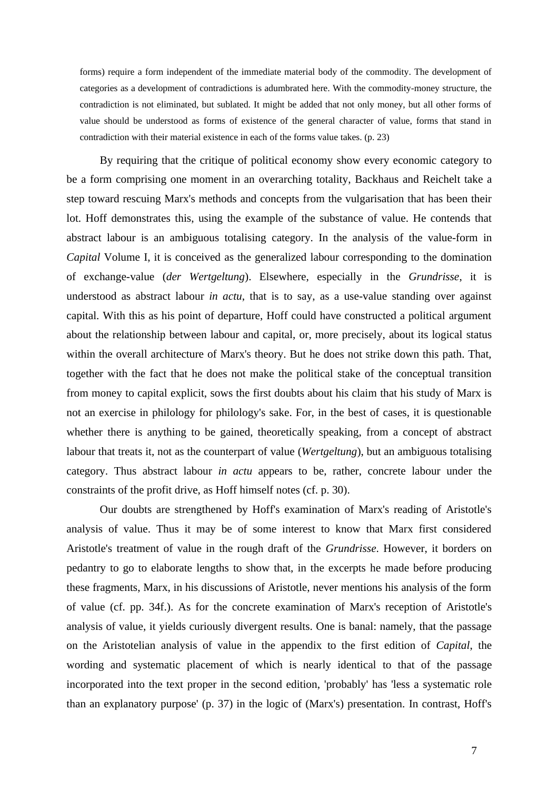forms) require a form independent of the immediate material body of the commodity. The development of categories as a development of contradictions is adumbrated here. With the commodity-money structure, the contradiction is not eliminated, but sublated. It might be added that not only money, but all other forms of value should be understood as forms of existence of the general character of value, forms that stand in contradiction with their material existence in each of the forms value takes. (p. 23)

By requiring that the critique of political economy show every economic category to be a form comprising one moment in an overarching totality, Backhaus and Reichelt take a step toward rescuing Marx's methods and concepts from the vulgarisation that has been their lot. Hoff demonstrates this, using the example of the substance of value. He contends that abstract labour is an ambiguous totalising category. In the analysis of the value-form in *Capital* Volume I, it is conceived as the generalized labour corresponding to the domination of exchange-value (*der Wertgeltung*). Elsewhere, especially in the *Grundrisse*, it is understood as abstract labour *in actu*, that is to say, as a use-value standing over against capital. With this as his point of departure, Hoff could have constructed a political argument about the relationship between labour and capital, or, more precisely, about its logical status within the overall architecture of Marx's theory. But he does not strike down this path. That, together with the fact that he does not make the political stake of the conceptual transition from money to capital explicit, sows the first doubts about his claim that his study of Marx is not an exercise in philology for philology's sake. For, in the best of cases, it is questionable whether there is anything to be gained, theoretically speaking, from a concept of abstract labour that treats it, not as the counterpart of value (*Wertgeltung*), but an ambiguous totalising category. Thus abstract labour *in actu* appears to be, rather, concrete labour under the constraints of the profit drive, as Hoff himself notes (cf. p. 30).

Our doubts are strengthened by Hoff's examination of Marx's reading of Aristotle's analysis of value. Thus it may be of some interest to know that Marx first considered Aristotle's treatment of value in the rough draft of the *Grundrisse*. However, it borders on pedantry to go to elaborate lengths to show that, in the excerpts he made before producing these fragments, Marx, in his discussions of Aristotle, never mentions his analysis of the form of value (cf. pp. 34f.). As for the concrete examination of Marx's reception of Aristotle's analysis of value, it yields curiously divergent results. One is banal: namely, that the passage on the Aristotelian analysis of value in the appendix to the first edition of *Capital*, the wording and systematic placement of which is nearly identical to that of the passage incorporated into the text proper in the second edition, 'probably' has 'less a systematic role than an explanatory purpose' (p. 37) in the logic of (Marx's) presentation. In contrast, Hoff's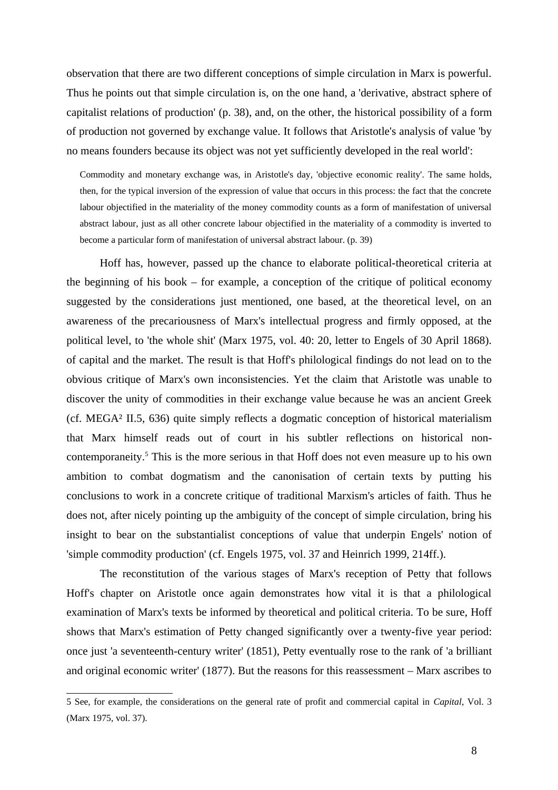observation that there are two different conceptions of simple circulation in Marx is powerful. Thus he points out that simple circulation is, on the one hand, a 'derivative, abstract sphere of capitalist relations of production' (p. 38), and, on the other, the historical possibility of a form of production not governed by exchange value. It follows that Aristotle's analysis of value 'by no means founders because its object was not yet sufficiently developed in the real world':

Commodity and monetary exchange was, in Aristotle's day, 'objective economic reality'. The same holds, then, for the typical inversion of the expression of value that occurs in this process: the fact that the concrete labour objectified in the materiality of the money commodity counts as a form of manifestation of universal abstract labour, just as all other concrete labour objectified in the materiality of a commodity is inverted to become a particular form of manifestation of universal abstract labour. (p. 39)

Hoff has, however, passed up the chance to elaborate political-theoretical criteria at the beginning of his book – for example, a conception of the critique of political economy suggested by the considerations just mentioned, one based, at the theoretical level, on an awareness of the precariousness of Marx's intellectual progress and firmly opposed, at the political level, to 'the whole shit' (Marx 1975, vol. 40: 20, letter to Engels of 30 April 1868). of capital and the market. The result is that Hoff's philological findings do not lead on to the obvious critique of Marx's own inconsistencies. Yet the claim that Aristotle was unable to discover the unity of commodities in their exchange value because he was an ancient Greek (cf. MEGA² II.5, 636) quite simply reflects a dogmatic conception of historical materialism that Marx himself reads out of court in his subtler reflections on historical non-contemporaneity.<sup>[5](#page-8-0)</sup> This is the more serious in that Hoff does not even measure up to his own ambition to combat dogmatism and the canonisation of certain texts by putting his conclusions to work in a concrete critique of traditional Marxism's articles of faith. Thus he does not, after nicely pointing up the ambiguity of the concept of simple circulation, bring his insight to bear on the substantialist conceptions of value that underpin Engels' notion of 'simple commodity production' (cf. Engels 1975, vol. 37 and Heinrich 1999, 214ff.).

The reconstitution of the various stages of Marx's reception of Petty that follows Hoff's chapter on Aristotle once again demonstrates how vital it is that a philological examination of Marx's texts be informed by theoretical and political criteria. To be sure, Hoff shows that Marx's estimation of Petty changed significantly over a twenty-five year period: once just 'a seventeenth-century writer' (1851), Petty eventually rose to the rank of 'a brilliant and original economic writer' (1877). But the reasons for this reassessment – Marx ascribes to

<span id="page-8-0"></span><sup>5</sup> See, for example, the considerations on the general rate of profit and commercial capital in *Capital*, Vol. 3 (Marx 1975, vol. 37).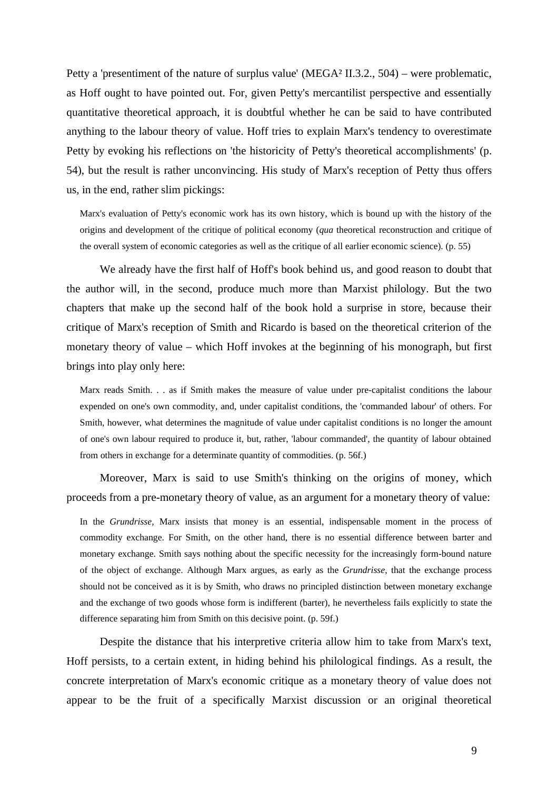Petty a 'presentiment of the nature of surplus value' (MEGA² II.3.2., 504) – were problematic, as Hoff ought to have pointed out. For, given Petty's mercantilist perspective and essentially quantitative theoretical approach, it is doubtful whether he can be said to have contributed anything to the labour theory of value. Hoff tries to explain Marx's tendency to overestimate Petty by evoking his reflections on 'the historicity of Petty's theoretical accomplishments' (p. 54), but the result is rather unconvincing. His study of Marx's reception of Petty thus offers us, in the end, rather slim pickings:

Marx's evaluation of Petty's economic work has its own history, which is bound up with the history of the origins and development of the critique of political economy (*qua* theoretical reconstruction and critique of the overall system of economic categories as well as the critique of all earlier economic science). (p. 55)

We already have the first half of Hoff's book behind us, and good reason to doubt that the author will, in the second, produce much more than Marxist philology. But the two chapters that make up the second half of the book hold a surprise in store, because their critique of Marx's reception of Smith and Ricardo is based on the theoretical criterion of the monetary theory of value – which Hoff invokes at the beginning of his monograph, but first brings into play only here:

Marx reads Smith. . . as if Smith makes the measure of value under pre-capitalist conditions the labour expended on one's own commodity, and, under capitalist conditions, the 'commanded labour' of others. For Smith, however, what determines the magnitude of value under capitalist conditions is no longer the amount of one's own labour required to produce it, but, rather, 'labour commanded', the quantity of labour obtained from others in exchange for a determinate quantity of commodities. (p. 56f.)

Moreover, Marx is said to use Smith's thinking on the origins of money, which proceeds from a pre-monetary theory of value, as an argument for a monetary theory of value:

In the *Grundrisse*, Marx insists that money is an essential, indispensable moment in the process of commodity exchange. For Smith, on the other hand, there is no essential difference between barter and monetary exchange. Smith says nothing about the specific necessity for the increasingly form-bound nature of the object of exchange. Although Marx argues, as early as the *Grundrisse*, that the exchange process should not be conceived as it is by Smith, who draws no principled distinction between monetary exchange and the exchange of two goods whose form is indifferent (barter), he nevertheless fails explicitly to state the difference separating him from Smith on this decisive point. (p. 59f.)

Despite the distance that his interpretive criteria allow him to take from Marx's text, Hoff persists, to a certain extent, in hiding behind his philological findings. As a result, the concrete interpretation of Marx's economic critique as a monetary theory of value does not appear to be the fruit of a specifically Marxist discussion or an original theoretical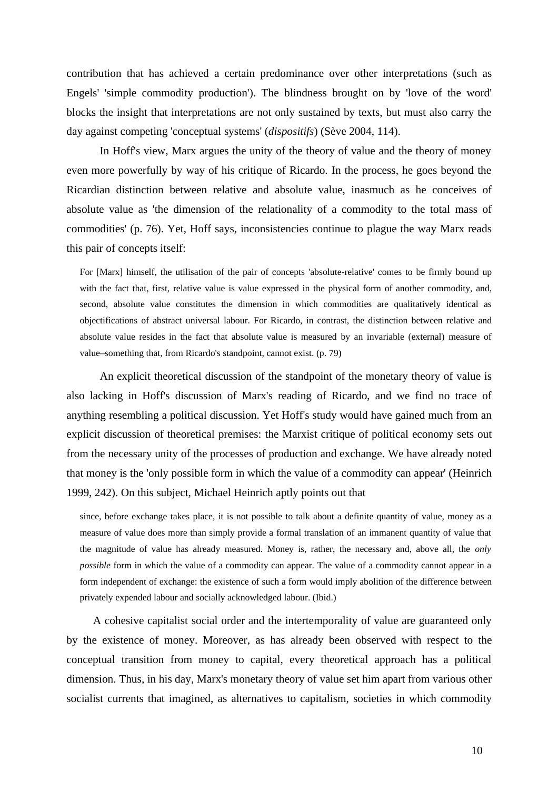contribution that has achieved a certain predominance over other interpretations (such as Engels' 'simple commodity production'). The blindness brought on by 'love of the word' blocks the insight that interpretations are not only sustained by texts, but must also carry the day against competing 'conceptual systems' (*dispositifs*) (Sève 2004, 114).

In Hoff's view, Marx argues the unity of the theory of value and the theory of money even more powerfully by way of his critique of Ricardo. In the process, he goes beyond the Ricardian distinction between relative and absolute value, inasmuch as he conceives of absolute value as 'the dimension of the relationality of a commodity to the total mass of commodities' (p. 76). Yet, Hoff says, inconsistencies continue to plague the way Marx reads this pair of concepts itself:

For [Marx] himself, the utilisation of the pair of concepts 'absolute-relative' comes to be firmly bound up with the fact that, first, relative value is value expressed in the physical form of another commodity, and, second, absolute value constitutes the dimension in which commodities are qualitatively identical as objectifications of abstract universal labour. For Ricardo, in contrast, the distinction between relative and absolute value resides in the fact that absolute value is measured by an invariable (external) measure of value–something that, from Ricardo's standpoint, cannot exist. (p. 79)

An explicit theoretical discussion of the standpoint of the monetary theory of value is also lacking in Hoff's discussion of Marx's reading of Ricardo, and we find no trace of anything resembling a political discussion. Yet Hoff's study would have gained much from an explicit discussion of theoretical premises: the Marxist critique of political economy sets out from the necessary unity of the processes of production and exchange. We have already noted that money is the 'only possible form in which the value of a commodity can appear' (Heinrich 1999, 242). On this subject, Michael Heinrich aptly points out that

since, before exchange takes place, it is not possible to talk about a definite quantity of value, money as a measure of value does more than simply provide a formal translation of an immanent quantity of value that the magnitude of value has already measured. Money is, rather, the necessary and, above all, the *only possible* form in which the value of a commodity can appear. The value of a commodity cannot appear in a form independent of exchange: the existence of such a form would imply abolition of the difference between privately expended labour and socially acknowledged labour. (Ibid.)

A cohesive capitalist social order and the intertemporality of value are guaranteed only by the existence of money. Moreover, as has already been observed with respect to the conceptual transition from money to capital, every theoretical approach has a political dimension. Thus, in his day, Marx's monetary theory of value set him apart from various other socialist currents that imagined, as alternatives to capitalism, societies in which commodity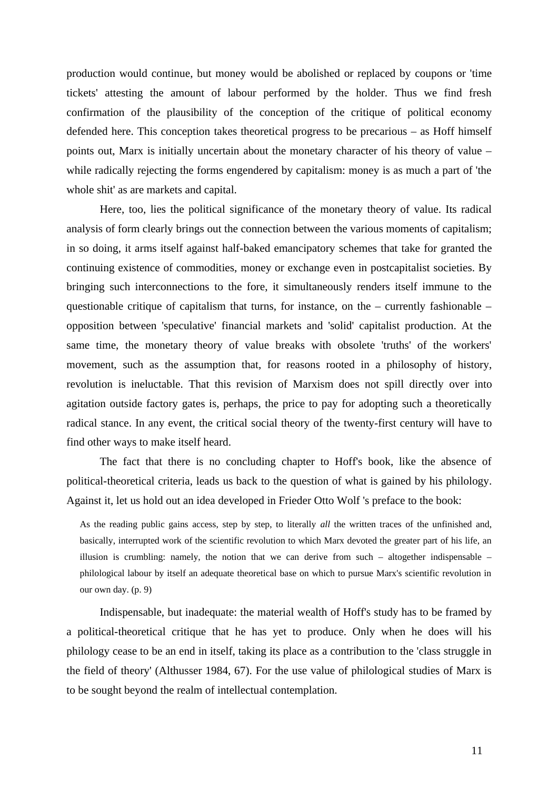production would continue, but money would be abolished or replaced by coupons or 'time tickets' attesting the amount of labour performed by the holder. Thus we find fresh confirmation of the plausibility of the conception of the critique of political economy defended here. This conception takes theoretical progress to be precarious – as Hoff himself points out, Marx is initially uncertain about the monetary character of his theory of value – while radically rejecting the forms engendered by capitalism: money is as much a part of 'the whole shit' as are markets and capital.

Here, too, lies the political significance of the monetary theory of value. Its radical analysis of form clearly brings out the connection between the various moments of capitalism; in so doing, it arms itself against half-baked emancipatory schemes that take for granted the continuing existence of commodities, money or exchange even in postcapitalist societies. By bringing such interconnections to the fore, it simultaneously renders itself immune to the questionable critique of capitalism that turns, for instance, on the  $-$  currently fashionable  $$ opposition between 'speculative' financial markets and 'solid' capitalist production. At the same time, the monetary theory of value breaks with obsolete 'truths' of the workers' movement, such as the assumption that, for reasons rooted in a philosophy of history, revolution is ineluctable. That this revision of Marxism does not spill directly over into agitation outside factory gates is, perhaps, the price to pay for adopting such a theoretically radical stance. In any event, the critical social theory of the twenty-first century will have to find other ways to make itself heard.

The fact that there is no concluding chapter to Hoff's book, like the absence of political-theoretical criteria, leads us back to the question of what is gained by his philology. Against it, let us hold out an idea developed in Frieder Otto Wolf 's preface to the book:

As the reading public gains access, step by step, to literally *all* the written traces of the unfinished and, basically, interrupted work of the scientific revolution to which Marx devoted the greater part of his life, an illusion is crumbling: namely, the notion that we can derive from such  $-$  altogether indispensable  $$ philological labour by itself an adequate theoretical base on which to pursue Marx's scientific revolution in our own day. (p. 9)

Indispensable, but inadequate: the material wealth of Hoff's study has to be framed by a political-theoretical critique that he has yet to produce. Only when he does will his philology cease to be an end in itself, taking its place as a contribution to the 'class struggle in the field of theory' (Althusser 1984, 67). For the use value of philological studies of Marx is to be sought beyond the realm of intellectual contemplation.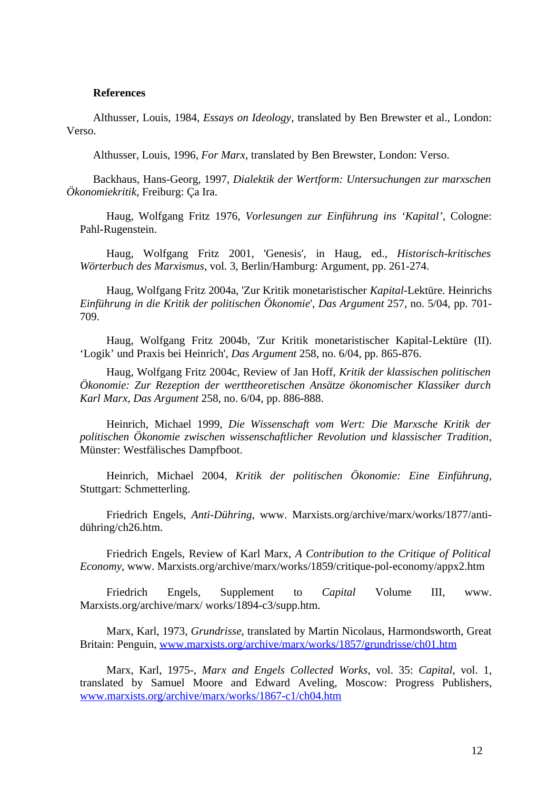#### **References**

Althusser, Louis, 1984, *Essays on Ideology*, translated by Ben Brewster et al., London: Verso.

Althusser, Louis, 1996, *For Marx*, translated by Ben Brewster, London: Verso.

Backhaus, Hans-Georg, 1997, *Dialektik der Wertform: Untersuchungen zur marxschen Ökonomiekritik*, Freiburg: Ça Ira.

Haug, Wolfgang Fritz 1976, *Vorlesungen zur Einführung ins 'Kapital'*, Cologne: Pahl-Rugenstein.

Haug, Wolfgang Fritz 2001, 'Genesis', in Haug, ed., *Historisch-kritisches Wörterbuch des Marxismus*, vol. 3, Berlin/Hamburg: Argument, pp. 261-274.

Haug, Wolfgang Fritz 2004a, 'Zur Kritik monetaristischer *Kapital*-Lektüre. Heinrichs *Einführung in die Kritik der politischen Ökonomie*', *Das Argument* 257, no. 5/04, pp. 701- 709.

Haug, Wolfgang Fritz 2004b, 'Zur Kritik monetaristischer Kapital-Lektüre (II). 'Logik' und Praxis bei Heinrich', *Das Argument* 258, no. 6/04, pp. 865-876.

Haug, Wolfgang Fritz 2004c, Review of Jan Hoff, *Kritik der klassischen politischen Ökonomie: Zur Rezeption der werttheoretischen Ansätze ökonomischer Klassiker durch Karl Marx*, *Das Argument* 258, no. 6/04, pp. 886-888.

Heinrich, Michael 1999, *Die Wissenschaft vom Wert: Die Marxsche Kritik der politischen Ökonomie zwischen wissenschaftlicher Revolution und klassischer Tradition*, Münster: Westfälisches Dampfboot.

Heinrich, Michael 2004, *Kritik der politischen Ökonomie: Eine Einführung*, Stuttgart: Schmetterling.

Friedrich Engels, *Anti-Dühring*, www. Marxists.org/archive/marx/works/1877/antidühring/ch26.htm.

Friedrich Engels, Review of Karl Marx, *A Contribution to the Critique of Political Economy*, www. Marxists.org/archive/marx/works/1859/critique-pol-economy/appx2.htm

Friedrich Engels, Supplement to *Capital* Volume III, www. Marxists.org/archive/marx/ works/1894-c3/supp.htm.

Marx, Karl, 1973, *Grundrisse*, translated by Martin Nicolaus, Harmondsworth, Great Britain: Penguin, [www.marxists.org/archive/marx/works/1857/grundrisse/ch01.htm](http://www.marxists.org/archive/marx/works/1857/grundrisse/ch01.htm)

Marx, Karl, 1975-, *Marx and Engels Collected Works*, vol. 35: *Capital*, vol. 1, translated by Samuel Moore and Edward Aveling, Moscow: Progress Publishers, [www.marxists.org/archive/marx/works/1867-c1/ch04.htm](http://www.marxists.org/archive/marx/works/1867-c1/ch04.htm)